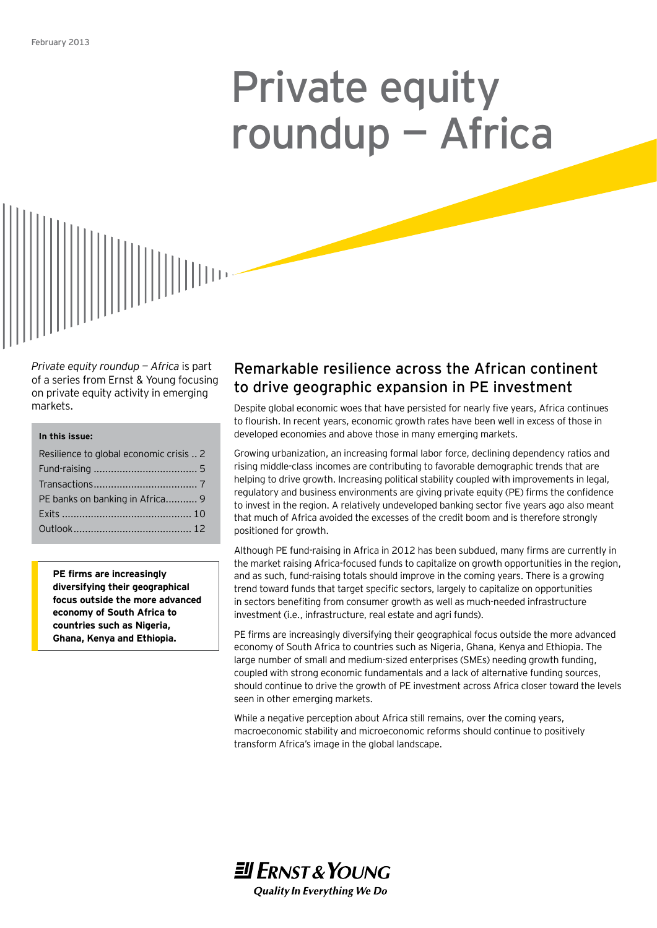# Private equity roundup — Africa



*Private equity roundup — Africa* is part of a series from Ernst & Young focusing on private equity activity in emerging markets.

#### **In this issue:**

| Resilience to global economic crisis  2 |  |
|-----------------------------------------|--|
|                                         |  |
|                                         |  |
| PE banks on banking in Africa 9         |  |
|                                         |  |
|                                         |  |

**PE firms are increasingly diversifying their geographical focus outside the more advanced economy of South Africa to countries such as Nigeria, Ghana, Kenya and Ethiopia.**

# Remarkable resilience across the African continent to drive geographic expansion in PE investment

Despite global economic woes that have persisted for nearly five years, Africa continues to flourish. In recent years, economic growth rates have been well in excess of those in developed economies and above those in many emerging markets.

Growing urbanization, an increasing formal labor force, declining dependency ratios and rising middle-class incomes are contributing to favorable demographic trends that are helping to drive growth. Increasing political stability coupled with improvements in legal, regulatory and business environments are giving private equity (PE) firms the confidence to invest in the region. A relatively undeveloped banking sector five years ago also meant that much of Africa avoided the excesses of the credit boom and is therefore strongly positioned for growth.

Although PE fund-raising in Africa in 2012 has been subdued, many firms are currently in the market raising Africa-focused funds to capitalize on growth opportunities in the region, and as such, fund-raising totals should improve in the coming years. There is a growing trend toward funds that target specific sectors, largely to capitalize on opportunities in sectors benefiting from consumer growth as well as much-needed infrastructure investment (i.e., infrastructure, real estate and agri funds).

PE firms are increasingly diversifying their geographical focus outside the more advanced economy of South Africa to countries such as Nigeria, Ghana, Kenya and Ethiopia. The large number of small and medium-sized enterprises (SMEs) needing growth funding, coupled with strong economic fundamentals and a lack of alternative funding sources, should continue to drive the growth of PE investment across Africa closer toward the levels seen in other emerging markets.

While a negative perception about Africa still remains, over the coming years, macroeconomic stability and microeconomic reforms should continue to positively transform Africa's image in the global landscape.

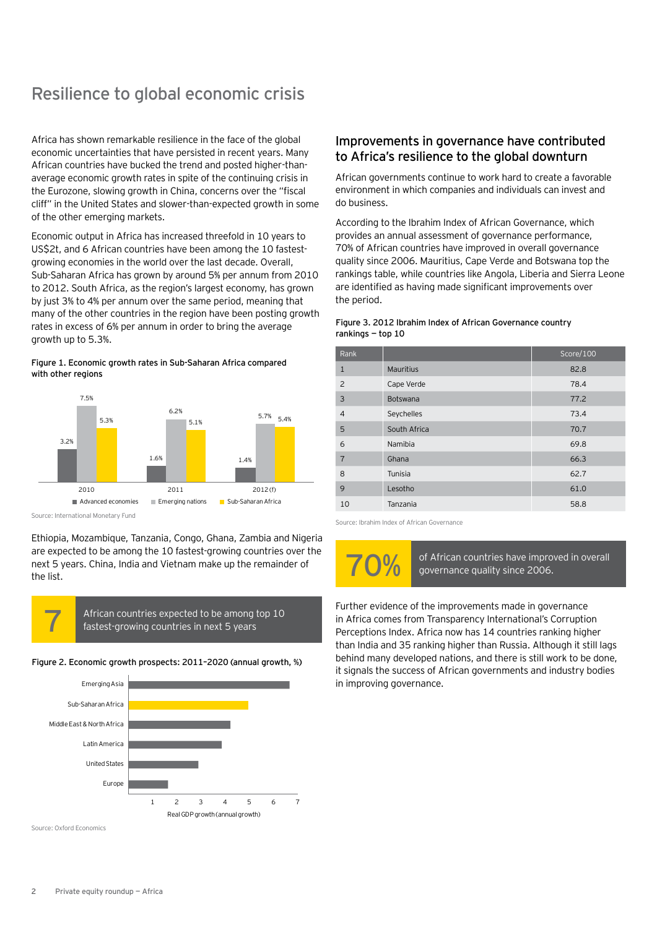# Resilience to global economic crisis

Africa has shown remarkable resilience in the face of the global economic uncertainties that have persisted in recent years. Many African countries have bucked the trend and posted higher-thanaverage economic growth rates in spite of the continuing crisis in the Eurozone, slowing growth in China, concerns over the "fiscal cliff" in the United States and slower-than-expected growth in some of the other emerging markets.

Economic output in Africa has increased threefold in 10 years to US\$2t, and 6 African countries have been among the 10 fastestgrowing economies in the world over the last decade. Overall, Sub-Saharan Africa has grown by around 5% per annum from 2010 to 2012. South Africa, as the region's largest economy, has grown by just 3% to 4% per annum over the same period, meaning that many of the other countries in the region have been posting growth rates in excess of 6% per annum in order to bring the average growth up to 5.3%.

#### Figure 1. Economic growth rates in Sub-Saharan Africa compared with other regions



Source: International Monetary Fund

Ethiopia, Mozambique, Tanzania, Congo, Ghana, Zambia and Nigeria are expected to be among the 10 fastest-growing countries over the next 5 years. China, India and Vietnam make up the remainder of the list.



African countries expected to be among top 10<br>fastest-growing countries in next 5 years

#### Figure 2. Economic growth prospects: 2011–2020 (annual growth, %)



Source: Oxford Economics

### Improvements in governance have contributed to Africa's resilience to the global downturn

African governments continue to work hard to create a favorable environment in which companies and individuals can invest and do business.

According to the Ibrahim Index of African Governance, which provides an annual assessment of governance performance, 70% of African countries have improved in overall governance quality since 2006. Mauritius, Cape Verde and Botswana top the rankings table, while countries like Angola, Liberia and Sierra Leone are identified as having made significant improvements over the period.

#### Figure 3. 2012 Ibrahim Index of African Governance country rankings — top 10

| Rank           |                  | Score/100 |
|----------------|------------------|-----------|
| $\mathbf{1}$   | <b>Mauritius</b> | 82.8      |
| 2              | Cape Verde       | 78.4      |
| 3              | Botswana         | 77.2      |
| $\overline{4}$ | Seychelles       | 73.4      |
| 5              | South Africa     | 70.7      |
| 6              | Namibia          | 69.8      |
| $\overline{7}$ | Ghana            | 66.3      |
| 8              | Tunisia          | 62.7      |
| 9              | Lesotho          | 61.0      |
| 10             | Tanzania         | 58.8      |

Source: Ibrahim Index of African Governance

of African countries have improved in overall governance quality since 2006.

Further evidence of the improvements made in governance in Africa comes from Transparency International's Corruption Perceptions Index. Africa now has 14 countries ranking higher than India and 35 ranking higher than Russia. Although it still lags behind many developed nations, and there is still work to be done, it signals the success of African governments and industry bodies in improving governance.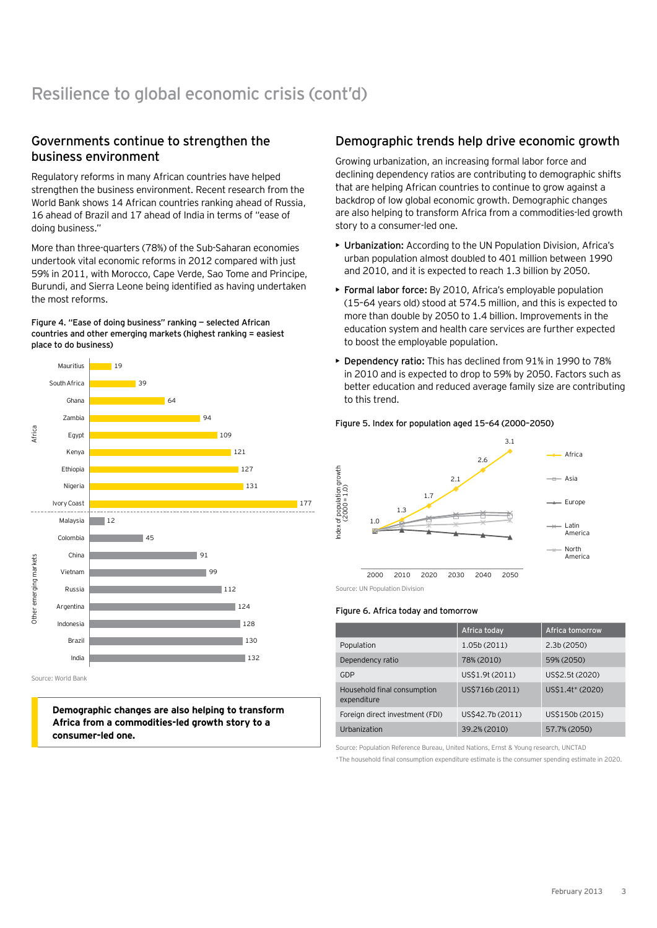# Governments continue to strengthen the business environment

Regulatory reforms in many African countries have helped strengthen the business environment. Recent research from the World Bank shows 14 African countries ranking ahead of Russia, 16 ahead of Brazil and 17 ahead of India in terms of "ease of doing business."

More than three-quarters (78%) of the Sub-Saharan economies undertook vital economic reforms in 2012 compared with just 59% in 2011, with Morocco, Cape Verde, Sao Tome and Principe, Burundi, and Sierra Leone being identified as having undertaken the most reforms.

Figure 4. "Ease of doing business" ranking — selected African countries and other emerging markets (highest ranking = easiest place to do business)



**Demographic changes are also helping to transform Africa from a commodities-led growth story to a consumer-led one.**

## Demographic trends help drive economic growth

Growing urbanization, an increasing formal labor force and declining dependency ratios are contributing to demographic shifts that are helping African countries to continue to grow against a backdrop of low global economic growth. Demographic changes are also helping to transform Africa from a commodities-led growth story to a consumer-led one.

- • Urbanization: According to the UN Population Division, Africa's urban population almost doubled to 401 million between 1990 and 2010, and it is expected to reach 1.3 billion by 2050.
- ▶ Formal labor force: By 2010, Africa's employable population (15–64 years old) stood at 574.5 million, and this is expected to more than double by 2050 to 1.4 billion. Improvements in the education system and health care services are further expected to boost the employable population.
- • Dependency ratio: This has declined from 91% in 1990 to 78% in 2010 and is expected to drop to 59% by 2050. Factors such as better education and reduced average family size are contributing to this trend.

#### Figure 5. Index for population aged 15–64 (2000–2050)



Source: UN Population Division

#### Figure 6. Africa today and tomorrow

|                                            | Africa today     | <b>Africa tomorrow</b> |
|--------------------------------------------|------------------|------------------------|
| Population                                 | 1.05b (2011)     | 2.3b(2050)             |
| Dependency ratio                           | 78% (2010)       | 59% (2050)             |
| GDP                                        | US\$1.9t (2011)  | US\$2.5t (2020)        |
| Household final consumption<br>expenditure | US\$716b (2011)  | US\$1.4t* (2020)       |
| Foreign direct investment (FDI)            | US\$42.7b (2011) | US\$150b (2015)        |
| Urbanization                               | 39.2% (2010)     | 57.7% (2050)           |

Source: Population Reference Bureau, United Nations, Ernst & Young research, UNCTAD

\*The household final consumption expenditure estimate is the consumer spending estimate in 2020.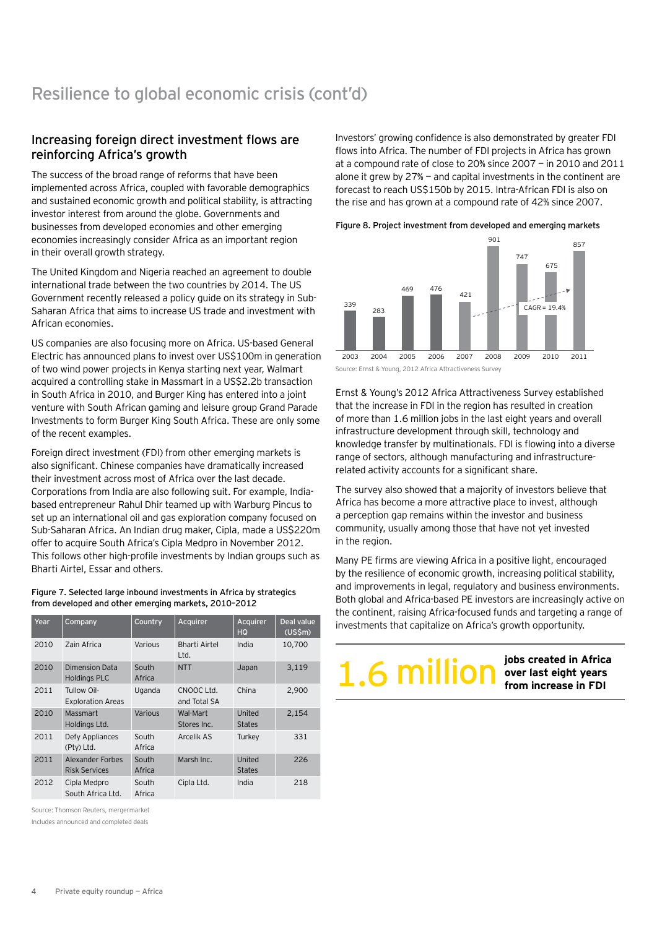# Increasing foreign direct investment flows are reinforcing Africa's growth

The success of the broad range of reforms that have been implemented across Africa, coupled with favorable demographics and sustained economic growth and political stability, is attracting investor interest from around the globe. Governments and businesses from developed economies and other emerging economies increasingly consider Africa as an important region in their overall growth strategy.

The United Kingdom and Nigeria reached an agreement to double international trade between the two countries by 2014. The US Government recently released a policy guide on its strategy in Sub-Saharan Africa that aims to increase US trade and investment with African economies.

US companies are also focusing more on Africa. US-based General Electric has announced plans to invest over US\$100m in generation of two wind power projects in Kenya starting next year, Walmart acquired a controlling stake in Massmart in a US\$2.2b transaction in South Africa in 2010, and Burger King has entered into a joint venture with South African gaming and leisure group Grand Parade Investments to form Burger King South Africa. These are only some of the recent examples.

Foreign direct investment (FDI) from other emerging markets is also significant. Chinese companies have dramatically increased their investment across most of Africa over the last decade. Corporations from India are also following suit. For example, Indiabased entrepreneur Rahul Dhir teamed up with Warburg Pincus to set up an international oil and gas exploration company focused on Sub-Saharan Africa. An Indian drug maker, Cipla, made a US\$220m offer to acquire South Africa's Cipla Medpro in November 2012. This follows other high-profile investments by Indian groups such as Bharti Airtel, Essar and others.

Figure 7. Selected large inbound investments in Africa by strategics from developed and other emerging markets, 2010–2012

| Year | Company                                  | Country         | Acquirer                   | Acquirer<br>HQ          | Deal value<br>$(US\$ 5m) |
|------|------------------------------------------|-----------------|----------------------------|-------------------------|--------------------------|
| 2010 | Zain Africa                              | Various         | Bharti Airtel<br>Ltd.      | India                   | 10,700                   |
| 2010 | Dimension Data<br><b>Holdings PLC</b>    | South<br>Africa | <b>NTT</b>                 | Japan                   | 3,119                    |
| 2011 | Tullow Oil-<br><b>Exploration Areas</b>  | Uganda          | CNOOC Ltd.<br>and Total SA | China                   | 2,900                    |
| 2010 | Massmart<br>Holdings Ltd.                | Various         | Wal-Mart<br>Stores Inc.    | United<br><b>States</b> | 2.154                    |
| 2011 | Defy Appliances<br>(Pty) Ltd.            | South<br>Africa | Arcelik AS                 | Turkey                  | 331                      |
| 2011 | Alexander Forbes<br><b>Risk Services</b> | South<br>Africa | Marsh Inc.                 | United<br><b>States</b> | 226                      |
| 2012 | Cipla Medpro<br>South Africa Ltd.        | South<br>Africa | Cipla Ltd.                 | India                   | 218                      |

Source: Thomson Reuters, mergermarket

Includes announced and completed deals

Investors' growing confidence is also demonstrated by greater FDI flows into Africa. The number of FDI projects in Africa has grown at a compound rate of close to 20% since 2007 — in 2010 and 2011 alone it grew by  $27%$  – and capital investments in the continent are forecast to reach US\$150b by 2015. Intra-African FDI is also on the rise and has grown at a compound rate of 42% since 2007.

Figure 8. Project investment from developed and emerging markets



Source: Ernst & Young, 2012 Africa Attractiveness Survey

Ernst & Young's 2012 Africa Attractiveness Survey established that the increase in FDI in the region has resulted in creation of more than 1.6 million jobs in the last eight years and overall infrastructure development through skill, technology and knowledge transfer by multinationals. FDI is flowing into a diverse range of sectors, although manufacturing and infrastructurerelated activity accounts for a significant share.

The survey also showed that a majority of investors believe that Africa has become a more attractive place to invest, although a perception gap remains within the investor and business community, usually among those that have not yet invested in the region.

Many PE firms are viewing Africa in a positive light, encouraged by the resilience of economic growth, increasing political stability, and improvements in legal, regulatory and business environments. Both global and Africa-based PE investors are increasingly active on the continent, raising Africa-focused funds and targeting a range of investments that capitalize on Africa's growth opportunity.

**1.6 million over last eight years**<br>**1.6 million example 1 from increase in FDI** 

**jobs created in Africa**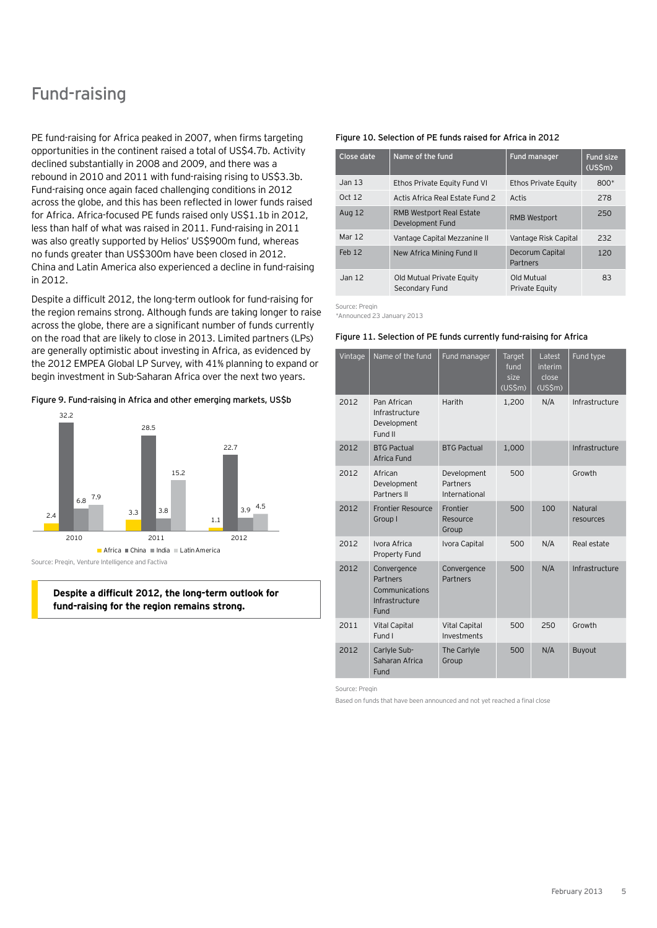# Fund-raising

PE fund-raising for Africa peaked in 2007, when firms targeting opportunities in the continent raised a total of US\$4.7b. Activity declined substantially in 2008 and 2009, and there was a rebound in 2010 and 2011 with fund-raising rising to US\$3.3b. Fund-raising once again faced challenging conditions in 2012 across the globe, and this has been reflected in lower funds raised for Africa. Africa-focused PE funds raised only US\$1.1b in 2012, less than half of what was raised in 2011. Fund-raising in 2011 was also greatly supported by Helios' US\$900m fund, whereas no funds greater than US\$300m have been closed in 2012. China and Latin America also experienced a decline in fund-raising in 2012.

Despite a difficult 2012, the long-term outlook for fund-raising for the region remains strong. Although funds are taking longer to raise across the globe, there are a significant number of funds currently on the road that are likely to close in 2013. Limited partners (LPs) are generally optimistic about investing in Africa, as evidenced by the 2012 EMPEA Global LP Survey, with 41% planning to expand or begin investment in Sub-Saharan Africa over the next two years.

Figure 9. Fund-raising in Africa and other emerging markets, US\$b



Source: Preqin, Venture Intelligence and Factiva

#### **Despite a difficult 2012, the long-term outlook for fund-raising for the region remains strong.**

#### Figure 10. Selection of PE funds raised for Africa in 2012

| Close date        | Name of the fund                                    | Fund manager                 | <b>Fund size</b><br>(USSm) |
|-------------------|-----------------------------------------------------|------------------------------|----------------------------|
| Jan <sub>13</sub> | Ethos Private Equity Fund VI                        | Ethos Private Equity         | $800*$                     |
| Oct 12            | Actis Africa Real Estate Fund 2                     | Actis                        | 278                        |
| Aug 12            | <b>RMB Westport Real Estate</b><br>Development Fund | <b>RMB Westport</b>          | 250                        |
| Mar 12            | Vantage Capital Mezzanine II                        | Vantage Risk Capital         | 232                        |
| Feb <sub>12</sub> | New Africa Mining Fund II                           | Decorum Capital<br>Partners  | 120                        |
| Jan 12            | Old Mutual Private Equity<br>Secondary Fund         | Old Mutual<br>Private Equity | 83                         |

Source: Preqin \*Announced 23 January 2013

#### Figure 11. Selection of PE funds currently fund-raising for Africa

| Vintage | Name of the fund                                                    | Fund manager                             | Target<br>fund<br>size<br>$(US\overline{5m})$ | Latest<br>interim<br>close<br>$(US\overline{5m})$ | Fund type            |
|---------|---------------------------------------------------------------------|------------------------------------------|-----------------------------------------------|---------------------------------------------------|----------------------|
| 2012    | Pan African<br>Infrastructure<br>Development<br>Fund II             | Harith                                   | 1,200                                         | N/A                                               | Infrastructure       |
| 2012    | <b>BTG Pactual</b><br>Africa Fund                                   | <b>BTG Pactual</b>                       | 1,000                                         |                                                   | Infrastructure       |
| 2012    | African<br>Development<br>Partners II                               | Development<br>Partners<br>International | 500                                           |                                                   | Growth               |
| 2012    | <b>Frontier Resource</b><br>Group I                                 | Frontier<br>Resource<br>Group            | 500                                           | 100                                               | Natural<br>resources |
| 2012    | Ivora Africa<br>Property Fund                                       | Ivora Capital                            | 500                                           | N/A                                               | Real estate          |
| 2012    | Convergence<br>Partners<br>Communications<br>Infrastructure<br>Fund | Convergence<br><b>Partners</b>           | 500                                           | N/A                                               | Infrastructure       |
| 2011    | <b>Vital Capital</b><br>Fund I                                      | <b>Vital Capital</b><br>Investments      | 500                                           | 250                                               | Growth               |
| 2012    | Carlyle Sub-<br>Saharan Africa<br>Fund                              | The Carlyle<br>Group                     | 500                                           | N/A                                               | Buyout               |

Source: Pregin

Based on funds that have been announced and not yet reached a final close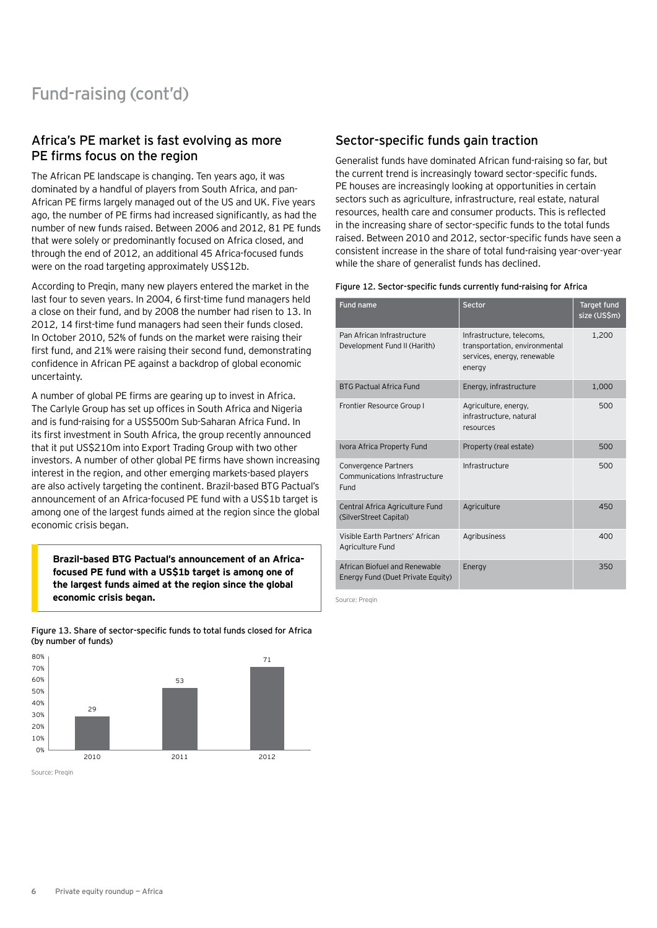# Africa's PE market is fast evolving as more PE firms focus on the region

The African PE landscape is changing. Ten years ago, it was dominated by a handful of players from South Africa, and pan-African PE firms largely managed out of the US and UK. Five years ago, the number of PE firms had increased significantly, as had the number of new funds raised. Between 2006 and 2012, 81 PE funds that were solely or predominantly focused on Africa closed, and through the end of 2012, an additional 45 Africa-focused funds were on the road targeting approximately US\$12b.

According to Preqin, many new players entered the market in the last four to seven years. In 2004, 6 first-time fund managers held a close on their fund, and by 2008 the number had risen to 13. In 2012, 14 first-time fund managers had seen their funds closed. In October 2010, 52% of funds on the market were raising their first fund, and 21% were raising their second fund, demonstrating confidence in African PE against a backdrop of global economic uncertainty.

A number of global PE firms are gearing up to invest in Africa. The Carlyle Group has set up offices in South Africa and Nigeria and is fund-raising for a US\$500m Sub-Saharan Africa Fund. In its first investment in South Africa, the group recently announced that it put US\$210m into Export Trading Group with two other investors. A number of other global PE firms have shown increasing interest in the region, and other emerging markets-based players are also actively targeting the continent. Brazil-based BTG Pactual's announcement of an Africa-focused PE fund with a US\$1b target is among one of the largest funds aimed at the region since the global economic crisis began.

**Brazil-based BTG Pactual's announcement of an Africafocused PE fund with a US\$1b target is among one of the largest funds aimed at the region since the global economic crisis began.**

Figure 13. Share of sector-specific funds to total funds closed for Africa (by number of funds)



Source: Pregin

## Sector-specific funds gain traction

Generalist funds have dominated African fund-raising so far, but the current trend is increasingly toward sector-specific funds. PE houses are increasingly looking at opportunities in certain sectors such as agriculture, infrastructure, real estate, natural resources, health care and consumer products. This is reflected in the increasing share of sector-specific funds to the total funds raised. Between 2010 and 2012, sector-specific funds have seen a consistent increase in the share of total fund-raising year-over-year while the share of generalist funds has declined.

#### Figure 12. Sector-specific funds currently fund-raising for Africa

| <b>Fund name</b>                                                   | Sector                                                                                              | Target fund<br>size (US\$m) |
|--------------------------------------------------------------------|-----------------------------------------------------------------------------------------------------|-----------------------------|
| Pan African Infrastructure<br>Development Fund II (Harith)         | Infrastructure, telecoms,<br>transportation, environmental<br>services, energy, renewable<br>energy | 1,200                       |
| <b>BTG Pactual Africa Fund</b>                                     | Energy, infrastructure                                                                              | 1,000                       |
| Frontier Resource Group I                                          | Agriculture, energy,<br>infrastructure, natural<br>resources                                        | 500                         |
| Ivora Africa Property Fund                                         | Property (real estate)                                                                              | 500                         |
| Convergence Partners<br>Communications Infrastructure<br>Fund      | Infrastructure                                                                                      | 500                         |
| Central Africa Agriculture Fund<br>(SilverStreet Capital)          | Agriculture                                                                                         | 450                         |
| Visible Farth Partners' African<br>Agriculture Fund                | Agribusiness                                                                                        | 400                         |
| African Biofuel and Renewable<br>Energy Fund (Duet Private Equity) | Energy                                                                                              | 350                         |

Source: Pregin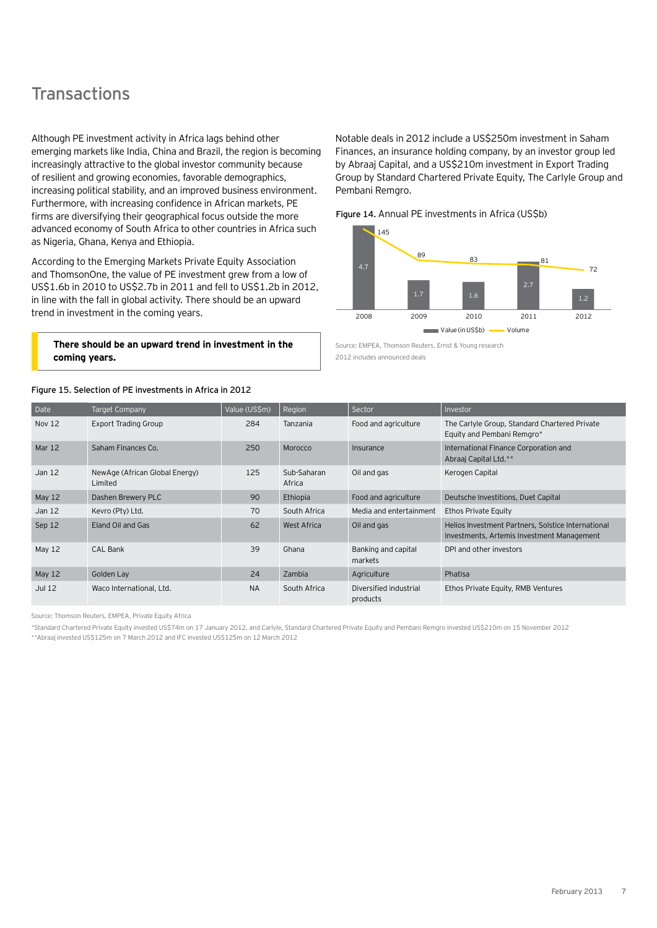# **Transactions**

Although PE investment activity in Africa lags behind other emerging markets like India, China and Brazil, the region is becoming increasingly attractive to the global investor community because of resilient and growing economies, favorable demographics, increasing political stability, and an improved business environment. Furthermore, with increasing confidence in African markets, PE firms are diversifying their geographical focus outside the more advanced economy of South Africa to other countries in Africa such as Nigeria, Ghana, Kenya and Ethiopia.

According to the Emerging Markets Private Equity Association and ThomsonOne, the value of PE investment grew from a low of US\$1.6b in 2010 to US\$2.7b in 2011 and fell to US\$1.2b in 2012, in line with the fall in global activity. There should be an upward trend in investment in the coming years.

#### **There should be an upward trend in investment in the coming years.**

#### Figure 15. Selection of PE investments in Africa in 2012

Notable deals in 2012 include a US\$250m investment in Saham Finances, an insurance holding company, by an investor group led by Abraaj Capital, and a US\$210m investment in Export Trading Group by Standard Chartered Private Equity, The Carlyle Group and Pembani Remgro.

Figure 14. Annual PE investments in Africa (US\$b)



Source: EMPEA, Thomson Reuters, Ernst & Young research 2012 includes announced deals

| Date              | <b>Target Company</b>                     | Value (US\$m) | Region                | Sector                             | Investor                                                                                         |
|-------------------|-------------------------------------------|---------------|-----------------------|------------------------------------|--------------------------------------------------------------------------------------------------|
| <b>Nov 12</b>     | <b>Export Trading Group</b>               | 284           | Tanzania              | Food and agriculture               | The Carlyle Group, Standard Chartered Private<br>Equity and Pembani Remgro*                      |
| Mar 12            | Saham Finances Co.                        | 250           | Morocco               | Insurance                          | International Finance Corporation and<br>Abraaj Capital Ltd.**                                   |
| Jan <sub>12</sub> | NewAge (African Global Energy)<br>Limited | 125           | Sub-Saharan<br>Africa | Oil and gas                        | Kerogen Capital                                                                                  |
| May 12            | Dashen Brewery PLC                        | 90            | Ethiopia              | Food and agriculture               | Deutsche Investitions, Duet Capital                                                              |
| Jan $12$          | Kevro (Pty) Ltd.                          | 70            | South Africa          | Media and entertainment            | Ethos Private Equity                                                                             |
| Sep 12            | Eland Oil and Gas                         | 62            | West Africa           | Oil and gas                        | Helios Investment Partners, Solstice International<br>Investments, Artemis Investment Management |
| May 12            | CAL Bank                                  | 39            | Ghana                 | Banking and capital<br>markets     | DPI and other investors                                                                          |
| May 12            | Golden Lay                                | 24            | Zambia                | Agriculture                        | Phatisa                                                                                          |
| <b>Jul 12</b>     | Waco International, Ltd.                  | <b>NA</b>     | South Africa          | Diversified industrial<br>products | Ethos Private Equity, RMB Ventures                                                               |

Source: Thomson Reuters, EMPEA, Private Equity Africa

\*Standard Chartered Private Equity invested US\$74m on 17 January 2012, and Carlyle, Standard Chartered Private Equity and Pembani Remgro invested US\$210m on 15 November 2012 \*\*Abraaj invested US\$125m on 7 March 2012 and IFC invested US\$125m on 12 March 2012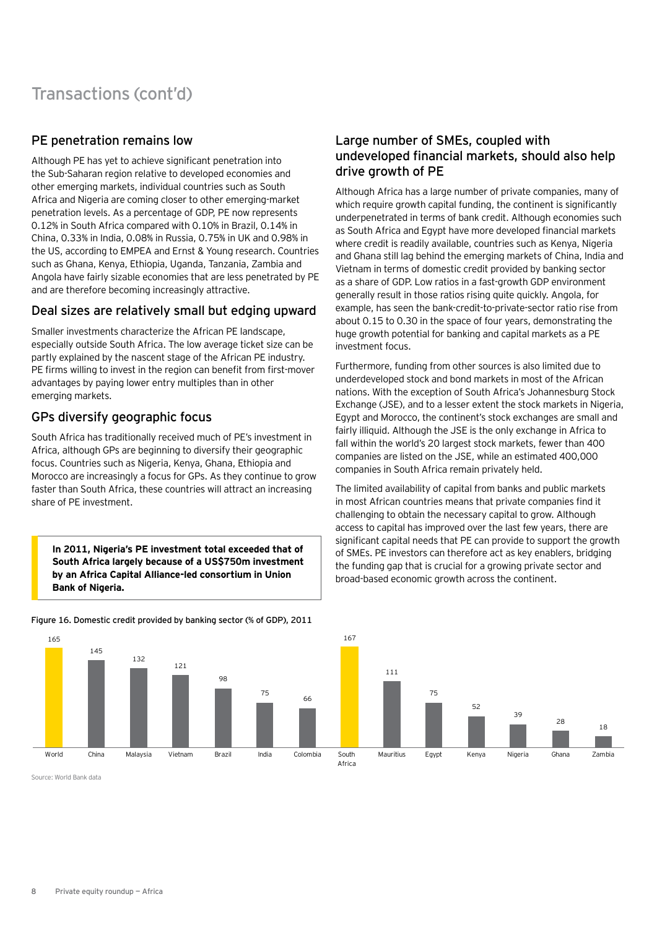# Transactions (cont'd)

# PE penetration remains low

Although PE has yet to achieve significant penetration into the Sub-Saharan region relative to developed economies and other emerging markets, individual countries such as South Africa and Nigeria are coming closer to other emerging-market penetration levels. As a percentage of GDP, PE now represents 0.12% in South Africa compared with 0.10% in Brazil, 0.14% in China, 0.33% in India, 0.08% in Russia, 0.75% in UK and 0.98% in the US, according to EMPEA and Ernst & Young research. Countries such as Ghana, Kenya, Ethiopia, Uganda, Tanzania, Zambia and Angola have fairly sizable economies that are less penetrated by PE and are therefore becoming increasingly attractive.

## Deal sizes are relatively small but edging upward

Smaller investments characterize the African PE landscape, especially outside South Africa. The low average ticket size can be partly explained by the nascent stage of the African PE industry. PE firms willing to invest in the region can benefit from first-mover advantages by paying lower entry multiples than in other emerging markets.

# GPs diversify geographic focus

South Africa has traditionally received much of PE's investment in Africa, although GPs are beginning to diversify their geographic focus. Countries such as Nigeria, Kenya, Ghana, Ethiopia and Morocco are increasingly a focus for GPs. As they continue to grow faster than South Africa, these countries will attract an increasing share of PE investment.

**In 2011, Nigeria's PE investment total exceeded that of South Africa largely because of a US\$750m investment by an Africa Capital Alliance-led consortium in Union Bank of Nigeria.**

### Figure 16. Domestic credit provided by banking sector (% of GDP), 2011

# Large number of SMEs, coupled with undeveloped financial markets, should also help drive growth of PE

Although Africa has a large number of private companies, many of which require growth capital funding, the continent is significantly underpenetrated in terms of bank credit. Although economies such as South Africa and Egypt have more developed financial markets where credit is readily available, countries such as Kenya, Nigeria and Ghana still lag behind the emerging markets of China, India and Vietnam in terms of domestic credit provided by banking sector as a share of GDP. Low ratios in a fast-growth GDP environment generally result in those ratios rising quite quickly. Angola, for example, has seen the bank-credit-to-private-sector ratio rise from about 0.15 to 0.30 in the space of four years, demonstrating the huge growth potential for banking and capital markets as a PE investment focus.

Furthermore, funding from other sources is also limited due to underdeveloped stock and bond markets in most of the African nations. With the exception of South Africa's Johannesburg Stock Exchange (JSE), and to a lesser extent the stock markets in Nigeria, Egypt and Morocco, the continent's stock exchanges are small and fairly illiquid. Although the JSE is the only exchange in Africa to fall within the world's 20 largest stock markets, fewer than 400 companies are listed on the JSE, while an estimated 400,000 companies in South Africa remain privately held.

The limited availability of capital from banks and public markets in most African countries means that private companies find it challenging to obtain the necessary capital to grow. Although access to capital has improved over the last few years, there are significant capital needs that PE can provide to support the growth of SMEs. PE investors can therefore act as key enablers, bridging the funding gap that is crucial for a growing private sector and broad-based economic growth across the continent.



Source: World Bank data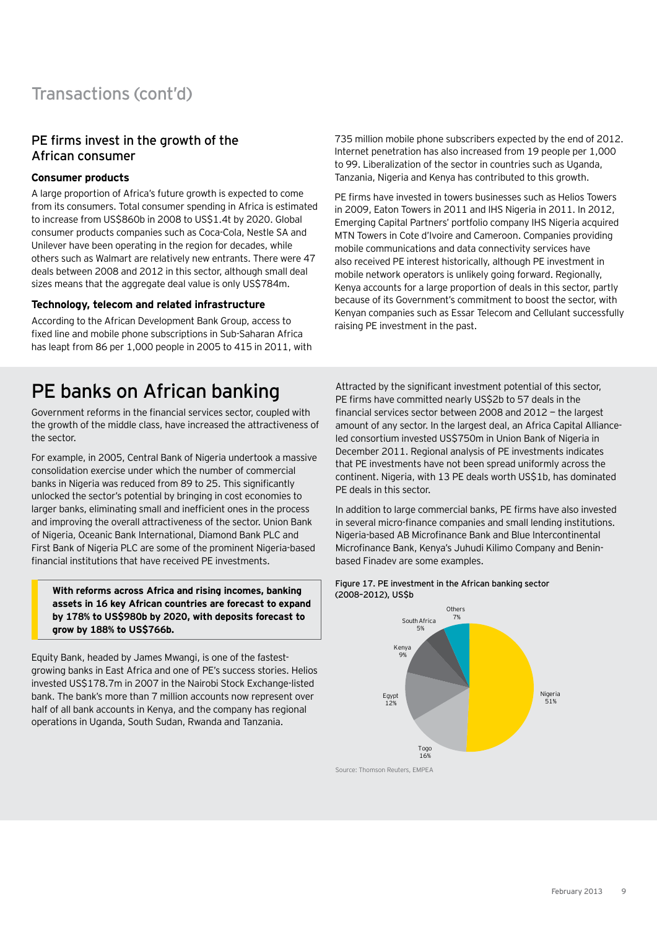# PE firms invest in the growth of the African consumer

### **Consumer products**

A large proportion of Africa's future growth is expected to come from its consumers. Total consumer spending in Africa is estimated to increase from US\$860b in 2008 to US\$1.4t by 2020. Global consumer products companies such as Coca-Cola, Nestle SA and Unilever have been operating in the region for decades, while others such as Walmart are relatively new entrants. There were 47 deals between 2008 and 2012 in this sector, although small deal sizes means that the aggregate deal value is only US\$784m.

### **Technology, telecom and related infrastructure**

According to the African Development Bank Group, access to fixed line and mobile phone subscriptions in Sub-Saharan Africa has leapt from 86 per 1,000 people in 2005 to 415 in 2011, with

735 million mobile phone subscribers expected by the end of 2012. Internet penetration has also increased from 19 people per 1,000 to 99. Liberalization of the sector in countries such as Uganda, Tanzania, Nigeria and Kenya has contributed to this growth.

PE firms have invested in towers businesses such as Helios Towers in 2009, Eaton Towers in 2011 and IHS Nigeria in 2011. In 2012, Emerging Capital Partners' portfolio company IHS Nigeria acquired MTN Towers in Cote d'Ivoire and Cameroon. Companies providing mobile communications and data connectivity services have also received PE interest historically, although PE investment in mobile network operators is unlikely going forward. Regionally, Kenya accounts for a large proportion of deals in this sector, partly because of its Government's commitment to boost the sector, with Kenyan companies such as Essar Telecom and Cellulant successfully raising PE investment in the past.

# PE banks on African banking

Government reforms in the financial services sector, coupled with the growth of the middle class, have increased the attractiveness of the sector.

For example, in 2005, Central Bank of Nigeria undertook a massive consolidation exercise under which the number of commercial banks in Nigeria was reduced from 89 to 25. This significantly unlocked the sector's potential by bringing in cost economies to larger banks, eliminating small and inefficient ones in the process and improving the overall attractiveness of the sector. Union Bank of Nigeria, Oceanic Bank International, Diamond Bank PLC and First Bank of Nigeria PLC are some of the prominent Nigeria-based financial institutions that have received PE investments.

**With reforms across Africa and rising incomes, banking assets in 16 key African countries are forecast to expand by 178% to US\$980b by 2020, with deposits forecast to grow by 188% to US\$766b.**

Equity Bank, headed by James Mwangi, is one of the fastestgrowing banks in East Africa and one of PE's success stories. Helios invested US\$178.7m in 2007 in the Nairobi Stock Exchange-listed bank. The bank's more than 7 million accounts now represent over half of all bank accounts in Kenya, and the company has regional operations in Uganda, South Sudan, Rwanda and Tanzania.

Attracted by the significant investment potential of this sector. PE firms have committed nearly US\$2b to 57 deals in the financial services sector between 2008 and 2012 — the largest amount of any sector. In the largest deal, an Africa Capital Allianceled consortium invested US\$750m in Union Bank of Nigeria in December 2011. Regional analysis of PE investments indicates that PE investments have not been spread uniformly across the continent. Nigeria, with 13 PE deals worth US\$1b, has dominated PE deals in this sector.

In addition to large commercial banks, PE firms have also invested in several micro-finance companies and small lending institutions. Nigeria-based AB Microfinance Bank and Blue Intercontinental Microfinance Bank, Kenya's Juhudi Kilimo Company and Beninbased Finadev are some examples.



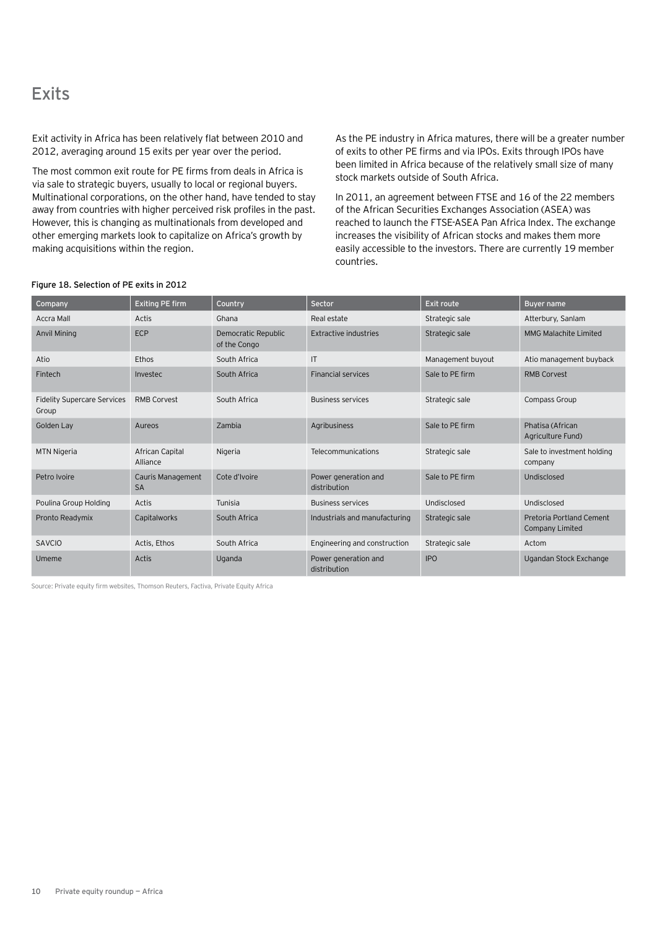# **Exits**

Exit activity in Africa has been relatively flat between 2010 and 2012, averaging around 15 exits per year over the period.

The most common exit route for PE firms from deals in Africa is via sale to strategic buyers, usually to local or regional buyers. Multinational corporations, on the other hand, have tended to stay away from countries with higher perceived risk profiles in the past. However, this is changing as multinationals from developed and other emerging markets look to capitalize on Africa's growth by making acquisitions within the region.

As the PE industry in Africa matures, there will be a greater number of exits to other PE firms and via IPOs. Exits through IPOs have been limited in Africa because of the relatively small size of many stock markets outside of South Africa.

In 2011, an agreement between FTSE and 16 of the 22 members of the African Securities Exchanges Association (ASEA) was reached to launch the FTSE-ASEA Pan Africa Index. The exchange increases the visibility of African stocks and makes them more easily accessible to the investors. There are currently 19 member countries.

| Company                                     | <b>Exiting PE firm</b>         | Country                             | Sector                               | Exit route        | <b>Buyer name</b>                                  |
|---------------------------------------------|--------------------------------|-------------------------------------|--------------------------------------|-------------------|----------------------------------------------------|
| <b>Accra Mall</b>                           | Actis                          | Ghana                               | Real estate                          | Strategic sale    | Atterbury, Sanlam                                  |
| <b>Anvil Mining</b>                         | <b>ECP</b>                     | Democratic Republic<br>of the Congo | Extractive industries                | Strategic sale    | <b>MMG Malachite Limited</b>                       |
| Atio                                        | Ethos                          | South Africa                        | $\mathsf{I}$                         | Management buyout | Atio management buyback                            |
| Fintech                                     | Investec                       | South Africa                        | <b>Financial services</b>            | Sale to PE firm   | <b>RMB Corvest</b>                                 |
| <b>Fidelity Supercare Services</b><br>Group | RMB Corvest                    | South Africa                        | <b>Business services</b>             | Strategic sale    | Compass Group                                      |
| Golden Lay                                  | Aureos                         | Zambia                              | Agribusiness                         | Sale to PE firm   | Phatisa (African<br>Agriculture Fund)              |
| <b>MTN Nigeria</b>                          | African Capital<br>Alliance    | Nigeria                             | Telecommunications                   | Strategic sale    | Sale to investment holding<br>company              |
| Petro Ivoire                                | Cauris Management<br><b>SA</b> | Cote d'Ivoire                       | Power generation and<br>distribution | Sale to PE firm   | Undisclosed                                        |
| Poulina Group Holding                       | Actis                          | Tunisia                             | <b>Business services</b>             | Undisclosed       | Undisclosed                                        |
| Pronto Readymix                             | Capitalworks                   | South Africa                        | Industrials and manufacturing        | Strategic sale    | Pretoria Portland Cement<br><b>Company Limited</b> |
| <b>SAVCIO</b>                               | Actis, Ethos                   | South Africa                        | Engineering and construction         | Strategic sale    | Actom                                              |
| Umeme                                       | Actis                          | Uganda                              | Power generation and<br>distribution | <b>IPO</b>        | Ugandan Stock Exchange                             |

#### Figure 18. Selection of PE exits in 2012

Source: Private equity firm websites, Thomson Reuters, Factiva, Private Equity Africa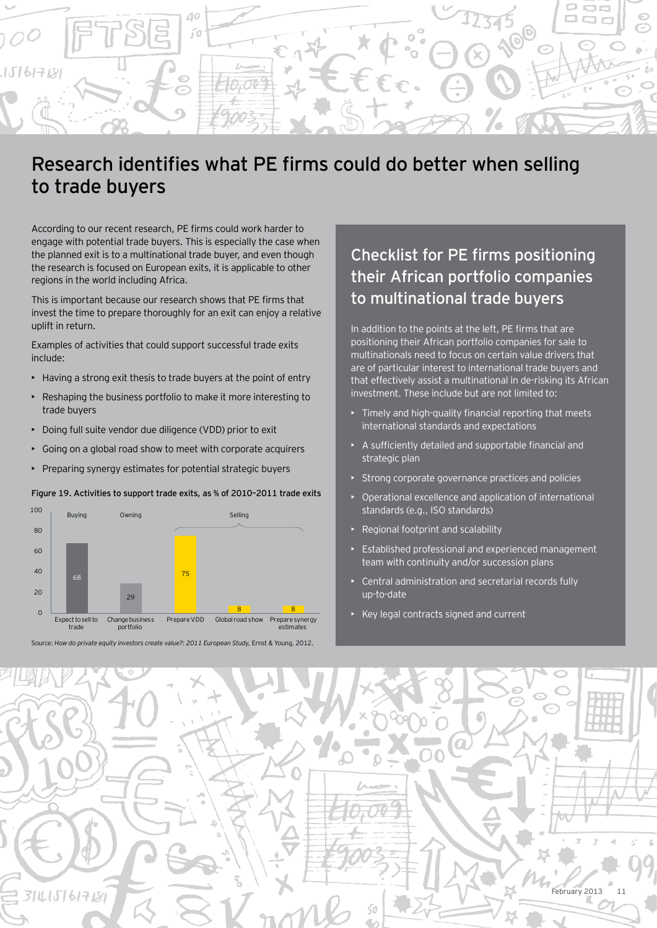

# Research identifies what PE firms could do better when selling to trade buyers

According to our recent research, PE firms could work harder to engage with potential trade buyers. This is especially the case when the planned exit is to a multinational trade buyer, and even though the research is focused on European exits, it is applicable to other regions in the world including Africa.

This is important because our research shows that PE firms that invest the time to prepare thoroughly for an exit can enjoy a relative uplift in return.

Examples of activities that could support successful trade exits include:

- Having a strong exit thesis to trade buyers at the point of entry
- Reshaping the business portfolio to make it more interesting to trade buyers
- Doing full suite vendor due diligence (VDD) prior to exit
- Going on a global road show to meet with corporate acquirers
- Preparing synergy estimates for potential strategic buyers

#### Figure 19. Activities to support trade exits, as % of 2010–2011 trade exits



Source: *How do private equity investors create value?: 2011 European Study,* Ernst & Young, 2012.

# Checklist for PE firms positioning their African portfolio companies to multinational trade buyers

In addition to the points at the left, PE firms that are positioning their African portfolio companies for sale to multinationals need to focus on certain value drivers that are of particular interest to international trade buyers and that effectively assist a multinational in de-risking its African investment. These include but are not limited to:

- Timely and high-quality financial reporting that meets international standards and expectations
- A sufficiently detailed and supportable financial and strategic plan
- Strong corporate governance practices and policies
- Operational excellence and application of international standards (e.g., ISO standards)
- Regional footprint and scalability
- Established professional and experienced management team with continuity and/or succession plans
- Central administration and secretarial records fully up-to-date
- Key legal contracts signed and current